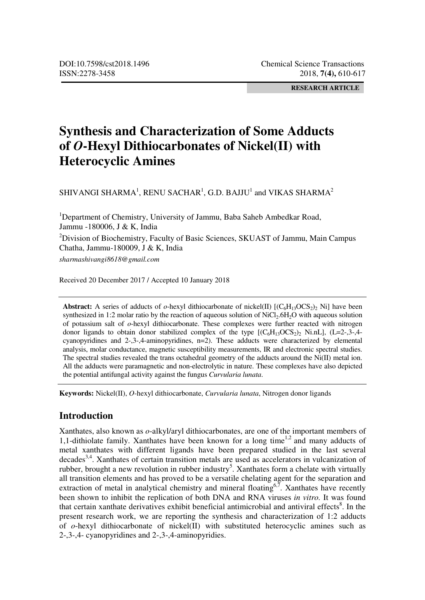**RESEARCH ARTICLE** 

# **Synthesis and Characterization of Some Adducts of** *O***-Hexyl Dithiocarbonates of Nickel(II) with Heterocyclic Amines**

SHIVANGI SHARMA<sup>1</sup>, RENU SACHAR<sup>1</sup>, G.D. BAJJU<sup>1</sup> and VIKAS SHARMA<sup>2</sup>

<sup>1</sup>Department of Chemistry, University of Jammu, Baba Saheb Ambedkar Road, Jammu -180006, J & K, India

<sup>2</sup>Division of Biochemistry, Faculty of Basic Sciences, SKUAST of Jammu, Main Campus Chatha, Jammu-180009, J & K, India

*sharmashivangi8618@gmail.com* 

Received 20 December 2017 / Accepted 10 January 2018

**Abstract:** A series of adducts of *o*-hexyl dithiocarbonate of nickel(II)  $[(C_6H_{13}OCS_2)_2]$  Ni] have been synthesized in 1:2 molar ratio by the reaction of aqueous solution of  $NiCl<sub>2</sub>.6H<sub>2</sub>O$  with aqueous solution of potassium salt of *o*-hexyl dithiocarbonate. These complexes were further reacted with nitrogen donor ligands to obtain donor stabilized complex of the type  $[(C_6H_{13}OCS_2)_2 \text{ Ni.nL}]$ ,  $(L=2,3,4$ cyanopyridines and 2-,3-,4-aminopyridines, n=2). These adducts were characterized by elemental analysis, molar conductance, magnetic susceptibility measurements, IR and electronic spectral studies. The spectral studies revealed the trans octahedral geometry of the adducts around the  $Ni(II)$  metal ion. All the adducts were paramagnetic and non-electrolytic in nature. These complexes have also depicted the potential antifungal activity against the fungus *Curvularia lunata*.

**Keywords:** Nickel(II), *O*-hexyl dithiocarbonate, *Curvularia lunata*, Nitrogen donor ligands

## **Introduction**

Xanthates, also known as *o*-alkyl/aryl dithiocarbonates, are one of the important members of 1,1-dithiolate family. Xanthates have been known for a long time<sup>1,2</sup> and many adducts of metal xanthates with different ligands have been prepared studied in the last several decades<sup>3,4</sup>. Xanthates of certain transition metals are used as accelerators in vulcanization of rubber, brought a new revolution in rubber industry<sup>5</sup>. Xanthates form a chelate with virtually all transition elements and has proved to be a versatile chelating agent for the separation and extraction of metal in analytical chemistry and mineral floating<sup>6,7</sup>. Xanthates have recently been shown to inhibit the replication of both DNA and RNA viruses *in vitro.* It was found that certain xanthate derivatives exhibit beneficial antimicrobial and antiviral effects<sup>8</sup>. In the present research work, we are reporting the synthesis and characterization of 1:2 adducts of *o*-hexyl dithiocarbonate of nickel(II) with substituted heterocyclic amines such as 2-,3-,4- cyanopyridines and 2-,3-,4-aminopyridies.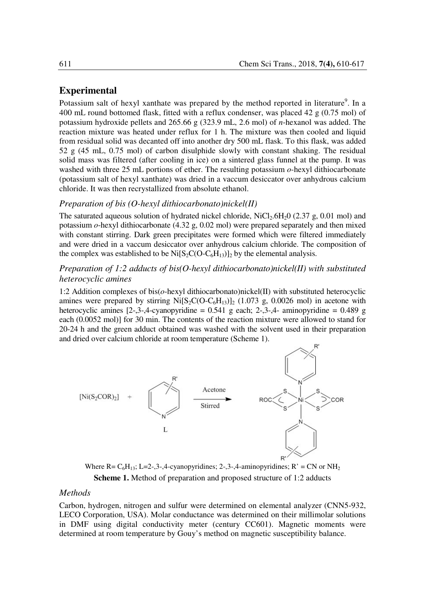## **Experimental**

Potassium salt of hexyl xanthate was prepared by the method reported in literature<sup>9</sup>. In a 400 mL round bottomed flask, fitted with a reflux condenser, was placed 42 g (0.75 mol) of potassium hydroxide pellets and 265.66 g (323.9 mL, 2.6 mol) of *n*-hexanol was added. The reaction mixture was heated under reflux for 1 h. The mixture was then cooled and liquid from residual solid was decanted off into another dry 500 mL flask. To this flask, was added 52 g (45 mL, 0.75 mol) of carbon disulphide slowly with constant shaking. The residual solid mass was filtered (after cooling in ice) on a sintered glass funnel at the pump. It was washed with three 25 mL portions of ether. The resulting potassium  $o$ -hexyl dithiocarbonate (potassium salt of hexyl xanthate) was dried in a vaccum desiccator over anhydrous calcium chloride. It was then recrystallized from absolute ethanol.

#### *Preparation of bis (O-hexyl dithiocarbonato)nickel(II)*

The saturated aqueous solution of hydrated nickel chloride,  $NICl<sub>2</sub>6H<sub>2</sub>0$  (2.37 g, 0.01 mol) and potassium *o*-hexyl dithiocarbonate (4.32 g, 0.02 mol) were prepared separately and then mixed with constant stirring. Dark green precipitates were formed which were filtered immediately and were dried in a vaccum desiccator over anhydrous calcium chloride. The composition of the complex was established to be  $Ni[S_2C(O-C_6H_{13})]_2$  by the elemental analysis.

## *Preparation of 1:2 adducts of bis(O-hexyl dithiocarbonato)nickel(II) with substituted heterocyclic amines*

1:2 Addition complexes of bis(*o*-hexyl dithiocarbonato)nickel(II) with substituted heterocyclic amines were prepared by stirring  $Ni[S_2C(O-C_6H_{13})]_2$  (1.073 g, 0.0026 mol) in acetone with heterocyclic amines  $[2,3,4]$ -cyanopyridine = 0.541 g each; 2-,3-,4- aminopyridine = 0.489 g each (0.0052 mol)] for 30 min. The contents of the reaction mixture were allowed to stand for 20-24 h and the green adduct obtained was washed with the solvent used in their preparation and dried over calcium chloride at room temperature (Scheme 1).



Where R=  $C_6H_{13}$ ; L=2-,3-,4-cyanopyridines; 2-,3-,4-aminopyridines; R' = CN or NH<sub>2</sub> **Scheme 1.** Method of preparation and proposed structure of 1:2 adducts

#### *Methods*

Carbon, hydrogen, nitrogen and sulfur were determined on elemental analyzer (CNN5-932, LECO Corporation, USA). Molar conductance was determined on their millimolar solutions in DMF using digital conductivity meter (century CC601). Magnetic moments were determined at room temperature by Gouy's method on magnetic susceptibility balance.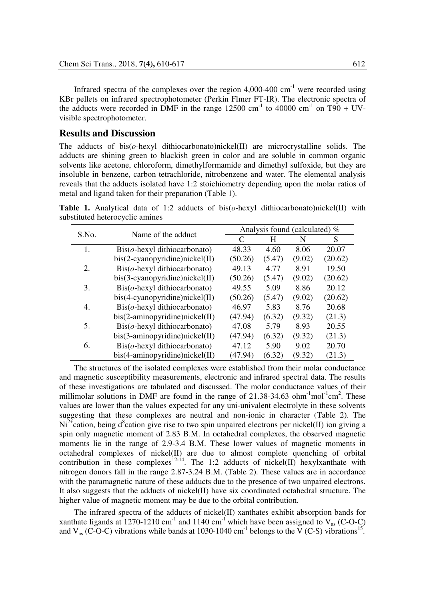Infrared spectra of the complexes over the region  $4,000-400$  cm<sup>-1</sup> were recorded using KBr pellets on infrared spectrophotometer (Perkin Flmer FT-IR). The electronic spectra of the adducts were recorded in DMF in the range  $12500 \text{ cm}^{-1}$  to  $40000 \text{ cm}^{-1}$  on T90 + UVvisible spectrophotometer.

### **Results and Discussion**

The adducts of bis(*o*-hexyl dithiocarbonato)nickel(II) are microcrystalline solids. The adducts are shining green to blackish green in color and are soluble in common organic solvents like acetone, chloroform, dimethylformamide and dimethyl sulfoxide, but they are insoluble in benzene, carbon tetrachloride, nitrobenzene and water. The elemental analysis reveals that the adducts isolated have 1:2 stoichiometry depending upon the molar ratios of metal and ligand taken for their preparation (Table 1).

**Table 1.** Analytical data of 1:2 adducts of bis(*o*-hexyl dithiocarbonato)nickel(II) with substituted heterocyclic amines

| S.No. | Name of the adduct                             | Analysis found (calculated) $%$ |        |        |         |  |  |
|-------|------------------------------------------------|---------------------------------|--------|--------|---------|--|--|
|       |                                                | C                               | H      | N      | S       |  |  |
| 1.    | $\operatorname{Bis}(o$ -hexyl dithiocarbonato) | 48.33                           | 4.60   | 8.06   | 20.07   |  |  |
|       | bis(2-cyanopyridine)nickel(II)                 | (50.26)                         | (5.47) | (9.02) | (20.62) |  |  |
| 2.    | $\operatorname{Bis}(o$ -hexyl dithiocarbonato) | 49.13                           | 4.77   | 8.91   | 19.50   |  |  |
|       | bis(3-cyanopyridine)nickel(II)                 | (50.26)                         | (5.47) | (9.02) | (20.62) |  |  |
| 3.    | $\text{Bis}(o$ -hexyl dithiocarbonato)         | 49.55                           | 5.09   | 8.86   | 20.12   |  |  |
|       | bis(4-cyanopyridine)nickel(II)                 | (50.26)                         | (5.47) | (9.02) | (20.62) |  |  |
| 4.    | $\text{Bis}(o$ -hexyl dithiocarbonato)         | 46.97                           | 5.83   | 8.76   | 20.68   |  |  |
|       | $bis(2-aminopyridine)nickel(II)$               | (47.94)                         | (6.32) | (9.32) | (21.3)  |  |  |
| 5.    | $\operatorname{Bis}(o$ -hexyl dithiocarbonato) | 47.08                           | 5.79   | 8.93   | 20.55   |  |  |
|       | $bis(3-anninopyridine)nickel(II)$              | (47.94)                         | (6.32) | (9.32) | (21.3)  |  |  |
| 6.    | $\text{Bis}(o$ -hexyl dithiocarbonato)         | 47.12                           | 5.90   | 9.02   | 20.70   |  |  |
|       | bis(4-aminopyridine)nickel(II)                 | (47.94)                         | (6.32) | (9.32) | (21.3)  |  |  |

 The structures of the isolated complexes were established from their molar conductance and magnetic susceptibility measurements, electronic and infrared spectral data. The results of these investigations are tabulated and discussed. The molar conductance values of their millimolar solutions in DMF are found in the range of  $21.38-34.63$  ohm<sup>-1</sup>mol<sup>-1</sup>cm<sup>2</sup>. These values are lower than the values expected for any uni-univalent electrolyte in these solvents suggesting that these complexes are neutral and non-ionic in character (Table 2). The  $Ni<sup>2+</sup>$ cation, being d<sup>8</sup>cation give rise to two spin unpaired electrons per nickel(II) ion giving a spin only magnetic moment of 2.83 B.M. In octahedral complexes, the observed magnetic moments lie in the range of 2.9-3.4 B.M. These lower values of magnetic moments in octahedral complexes of nickel $(II)$  are due to almost complete quenching of orbital contribution in these complexes<sup>12-14</sup>. The 1:2 adducts of nickel(II) hexylxanthate with nitrogen donors fall in the range 2.87-3.24 B.M. (Table 2). These values are in accordance with the paramagnetic nature of these adducts due to the presence of two unpaired electrons. It also suggests that the adducts of nickel(II) have six coordinated octahedral structure. The higher value of magnetic moment may be due to the orbital contribution.

The infrared spectra of the adducts of nickel(II) xanthates exhibit absorption bands for xanthate ligands at 1270-1210 cm<sup>-1</sup> and 1140 cm<sup>-1</sup> which have been assigned to  $V_{as}$  (C-O-C) and  $V_{as}$  (C-O-C) vibrations while bands at 1030-1040 cm<sup>-1</sup> belongs to the V (C-S) vibrations<sup>15</sup>.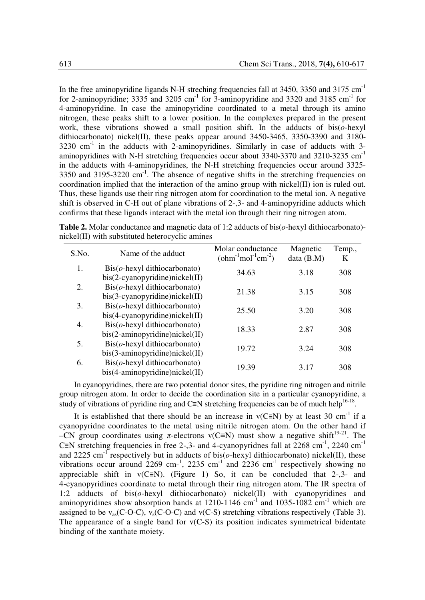In the free aminopyridine ligands N-H streching frequencies fall at  $3450$ ,  $3350$  and  $3175$  cm<sup>-1</sup> for 2-aminopyridine; 3335 and 3205 cm<sup>-1</sup> for 3-aminopyridine and 3320 and 3185 cm<sup>-1</sup> for 4-aminopyridine. In case the aminopyridine coordinated to a metal through its amino nitrogen, these peaks shift to a lower position. In the complexes prepared in the present work, these vibrations showed a small position shift. In the adducts of bis(*o*-hexyl dithiocarbonato) nickel(II), these peaks appear around 3450-3465, 3350-3390 and 3180-  $3230 \text{ cm}^{-1}$  in the adducts with 2-aminopyridines. Similarly in case of adducts with 3aminopyridines with N-H stretching frequencies occur about  $3340-3370$  and  $3210-3235$  cm<sup>-1</sup> in the adducts with 4-aminopyridines, the N-H stretching frequencies occur around 3325-  $3350$  and  $3195-3220$  cm<sup>-1</sup>. The absence of negative shifts in the stretching frequencies on coordination implied that the interaction of the amino group with nickel(II) ion is ruled out. Thus, these ligands use their ring nitrogen atom for coordination to the metal ion. A negative shift is observed in C-H out of plane vibrations of 2-,3- and 4-aminopyridine adducts which confirms that these ligands interact with the metal ion through their ring nitrogen atom.

**Table 2.** Molar conductance and magnetic data of 1:2 adducts of bis(*o*-hexyl dithiocarbonato) nickel(II) with substituted heterocyclic amines

| S.No. | Name of the adduct                             | Molar conductance<br>$\text{(ohm}^{-1}\text{mol}^{-1}\text{cm}^{-2}\text{)}$ | Magnetic<br>data (B.M) | Temp.,<br>K |
|-------|------------------------------------------------|------------------------------------------------------------------------------|------------------------|-------------|
| 1.    | $\text{Bis}(o$ -hexyl dithiocarbonato)         | 34.63                                                                        | 3.18                   | 308         |
|       | $bis(2-cyanopyridine)nickel(II)$               |                                                                              |                        |             |
| 2.    | $\text{Bis}(o$ -hexyl dithiocarbonato)         | 21.38                                                                        | 3.15                   | 308         |
|       | bis(3-cyanopyridine)nickel(II)                 |                                                                              |                        |             |
| 3.    | $\text{Bis}(o$ -hexyl dithiocarbonato)         | 25.50                                                                        | 3.20                   | 308         |
|       | $bis(4-cyanopyridine)nickel(II)$               |                                                                              |                        |             |
| 4.    | $\text{Bis}(o$ -hexyl dithiocarbonato)         | 18.33                                                                        | 2.87                   | 308         |
|       | $bis(2-aminopyridine)nickel(II)$               |                                                                              |                        |             |
| 5.    | $\text{Bis}(o$ -hexyl dithiocarbonato)         | 19.72                                                                        | 3.24                   | 308         |
|       | bis(3-aminopyridine)nickel(II)                 |                                                                              |                        |             |
| 6.    | $\operatorname{Bis}(o$ -hexyl dithiocarbonato) | 19.39                                                                        |                        | 308         |
|       | $bis(4-aminopyridine)nickel(II)$               |                                                                              | 3.17                   |             |

 In cyanopyridines, there are two potential donor sites, the pyridine ring nitrogen and nitrile group nitrogen atom. In order to decide the coordination site in a particular cyanopyridine, a study of vibrations of pyridine ring and C≡N stretching frequencies can be of much help<sup>16-18</sup>.

It is established that there should be an increase in  $v(C=N)$  by at least 30 cm<sup>-1</sup> if a cyanopyridne coordinates to the metal using nitrile nitrogen atom. On the other hand if –CN group coordinates using  $\pi$ -electrons v(C≡N) must show a negative shift<sup>19-21</sup>. The C≡N stretching frequencies in free 2-,3- and 4-cyanopyridnes fall at  $2268 \text{ cm}^{-1}$ ,  $2240 \text{ cm}^{-1}$ and 2225 cm<sup>-1</sup> respectively but in adducts of bis( $o$ -hexyl dithiocarbonato) nickel(II), these vibrations occur around  $2269$  cm<sup>-1</sup>,  $2235$  cm<sup>-1</sup> and  $2236$  cm<sup>-1</sup> respectively showing no appreciable shift in  $v(C\equiv N)$ . (Figure 1) So, it can be concluded that 2-,3- and 4-cyanopyridines coordinate to metal through their ring nitrogen atom. The IR spectra of 1:2 adducts of bis(*o*-hexyl dithiocarbonato) nickel(II) with cyanopyridines and aminopyridines show absorption bands at  $1210-1146$  cm<sup>-1</sup> and  $1035-1082$  cm<sup>-1</sup> which are assigned to be  $v_{as}(C-O-C)$ ,  $v_s(C-O-C)$  and  $v(C-S)$  stretching vibrations respectively (Table 3). The appearance of a single band for  $v(C-S)$  its position indicates symmetrical bidentate binding of the xanthate moiety.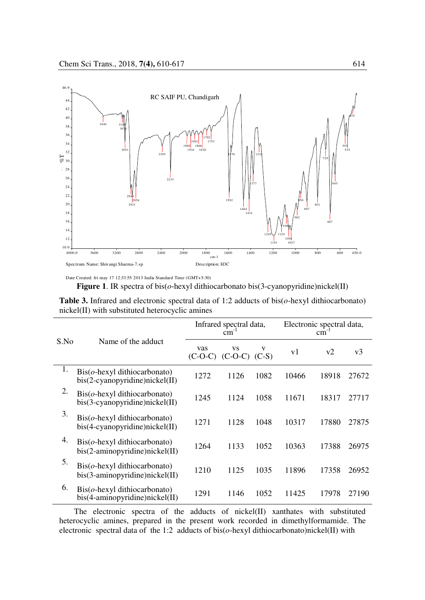

Date Created: fri may 17 12:33:55 2013 India Standard Time (GMT+5:30) **Figure 1**. IR spectra of bis(*o*-hexyl dithiocarbonato bis(3-cyanopyridine)nickel(II)

**Table 3.** Infrared and electronic spectral data of 1:2 adducts of bis(*o*-hexyl dithiocarbonato) nickel(II) with substituted heterocyclic amines

| S.No | Name of the adduct                                                                  | Infrared spectral data,<br>cm |                                   |      | Electronic spectral data,<br>cm |       |       |
|------|-------------------------------------------------------------------------------------|-------------------------------|-----------------------------------|------|---------------------------------|-------|-------|
|      |                                                                                     | vas                           | VS<br>$(C-O-C)$ $(C-O-C)$ $(C-S)$ | v    | v1                              | v2    | v3    |
| 1.   | $\text{Bis}(o$ -hexyl dithiocarbonato)<br>$bis(2-cyanopyridine)nickel(II)$          | 1272                          | 1126                              | 1082 | 10466                           | 18918 | 27672 |
| 2.   | $\text{Bis}(o$ -hexyl dithiocarbonato)<br>$bis(3-cyanopyridine)nickel(II)$          | 1245                          | 1124                              | 1058 | 11671                           | 18317 | 27717 |
| 3.   | $\operatorname{Bis}(o$ -hexyl dithiocarbonato)<br>$bis(4-cyanopyridine)nickel(II)$  | 1271                          | 1128                              | 1048 | 10317                           | 17880 | 27875 |
| 4.   | $\text{Bis}(o$ -hexyl dithiocarbonato)<br>$bis(2-aminopyridine)nickel(II)$          | 1264                          | 1133                              | 1052 | 10363                           | 17388 | 26975 |
| 5.   | $\operatorname{Bis}(o$ -hexyl dithiocarbonato)<br>$bis(3-anninopyridine)nickel(II)$ | 1210                          | 1125                              | 1035 | 11896                           | 17358 | 26952 |
| 6.   | $\text{Bis}(o$ -hexyl dithiocarbonato)<br>bis(4-aminopyridine)nickel(II)            | 1291                          | 1146                              | 1052 | 11425                           | 17978 | 27190 |

 The electronic spectra of the adducts of nickel(II) xanthates with substituted heterocyclic amines, prepared in the present work recorded in dimethylformamide. The electronic spectral data of the 1:2 adducts of bis(*o*-hexyl dithiocarbonato)nickel(II) with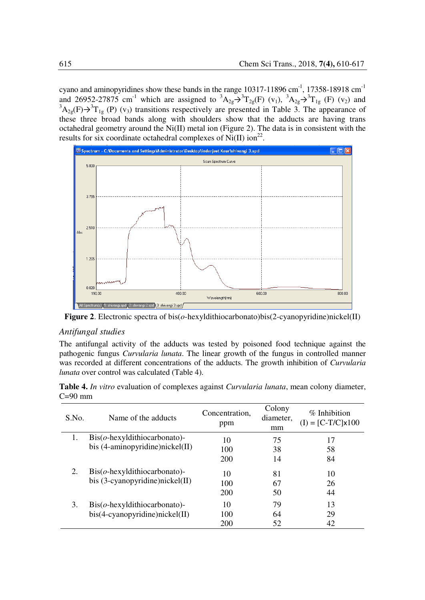cyano and aminopyridines show these bands in the range 10317-11896 cm<sup>-1</sup>, 17358-18918 cm<sup>-1</sup> and 26952-27875 cm<sup>-1</sup> which are assigned to  ${}^{3}A_{2g} \rightarrow {}^{3}T_{2g}(F)$  (v<sub>1</sub>),  ${}^{3}A_{2g} \rightarrow {}^{3}T_{1g}$  (F) (v<sub>2</sub>) and  ${}^{3}A_{2g}(F) \rightarrow {}^{3}T_{1g}(P)$  (v<sub>3</sub>) transitions respectively are presented in Table 3. The appearance of these three broad bands along with shoulders show that the adducts are having trans octahedral geometry around the Ni(II) metal ion (Figure 2). The data is in consistent with the results for six coordinate octahedral complexes of  $Ni(II)$  ion<sup>22</sup>.



**Figure 2**. Electronic spectra of bis(*o*-hexyldithiocarbonato)bis(2-cyanopyridine)nickel(II)

#### *Antifungal studies*

The antifungal activity of the adducts was tested by poisoned food technique against the pathogenic fungus *Curvularia lunata*. The linear growth of the fungus in controlled manner was recorded at different concentrations of the adducts. The growth inhibition of *Curvularia lunata* over control was calculated (Table 4).

| S.No. | Name of the adducts                            | Concentration.<br>ppm | Colony<br>diameter.<br>mm | $%$ Inhibition<br>$(I) = [C-T/C] \times 100$ |
|-------|------------------------------------------------|-----------------------|---------------------------|----------------------------------------------|
| 1.    | $\operatorname{Bis}(o$ -hexyldithiocarbonato)- | 10                    | 75                        | 17                                           |
|       | bis (4-aminopyridine)nickel(II)                | 100                   | 38                        | 58                                           |
|       |                                                | 200                   | 14                        | 84                                           |
| 2.    | $\text{Bis}(o$ -hexyldithiocarbonato)-         | 10                    | 81                        | 10                                           |
|       | bis (3-cyanopyridine)nickel(II)                | 100                   | 67                        | 26                                           |
|       |                                                | 200                   | 50                        | 44                                           |
| 3.    | $\operatorname{Bis}(o$ -hexyldithiocarbonato)- | 10                    | 79                        | 13                                           |
|       | bis(4-cyanopyridine)nickel(II)                 | 100                   | 64                        | 29                                           |
|       |                                                | 200                   | 52                        | 42                                           |

**Table 4.** *In vitro* evaluation of complexes against *Curvularia lunata*, mean colony diameter,  $C=90$  mm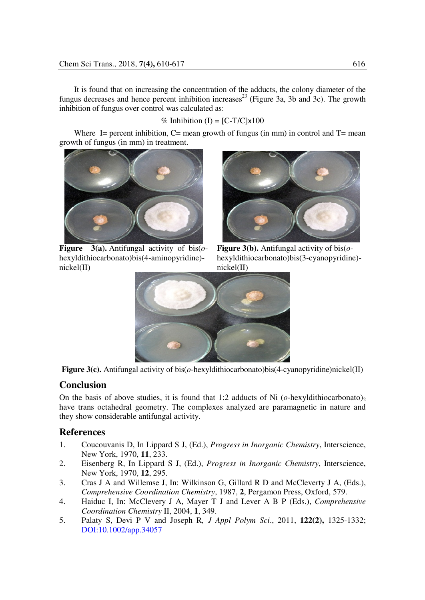It is found that on increasing the concentration of the adducts, the colony diameter of the fungus decreases and hence percent inhibition increases<sup>23</sup> (Figure 3a, 3b and 3c). The growth inhibition of fungus over control was calculated as:

#### % Inhibition  $(I) = [C-T/C] \times 100$

Where I= percent inhibition,  $C$ = mean growth of fungus (in mm) in control and  $T$ = mean growth of fungus (in mm) in treatment.



**Figure 3(a).** Antifungal activity of bis(*o*hexyldithiocarbonato)bis(4-aminopyridine) nickel(II)



**Figure 3(b).** Antifungal activity of bis(*o*hexyldithiocarbonato)bis(3-cyanopyridine) nickel(II)





## **Conclusion**

On the basis of above studies, it is found that 1:2 adducts of Ni  $(o$ -hexyldithiocarbonato)<sub>2</sub> have trans octahedral geometry. The complexes analyzed are paramagnetic in nature and they show considerable antifungal activity.

## **References**

- 1. Coucouvanis D, In Lippard S J, (Ed.), *Progress in Inorganic Chemistry*, Interscience, New York, 1970, **11**, 233.
- 2. Eisenberg R, In Lippard S J, (Ed.), *Progress in Inorganic Chemistry*, Interscience, New York, 1970, **12**, 295.
- 3. Cras J A and Willemse J, In: Wilkinson G, Gillard R D and McCleverty J A, (Eds.), *Comprehensive Coordination Chemistry*, 1987, **2**, Pergamon Press, Oxford, 579.
- 4. Haiduc I, In: McClevery J A, Mayer T J and Lever A B P (Eds.), *Comprehensive Coordination Chemistry* II, 2004, **1**, 349.
- 5. Palaty S, Devi P V and Joseph R*, J Appl Polym Sci*., 2011, **122(2),** 1325-1332; DOI:10.1002/app.34057